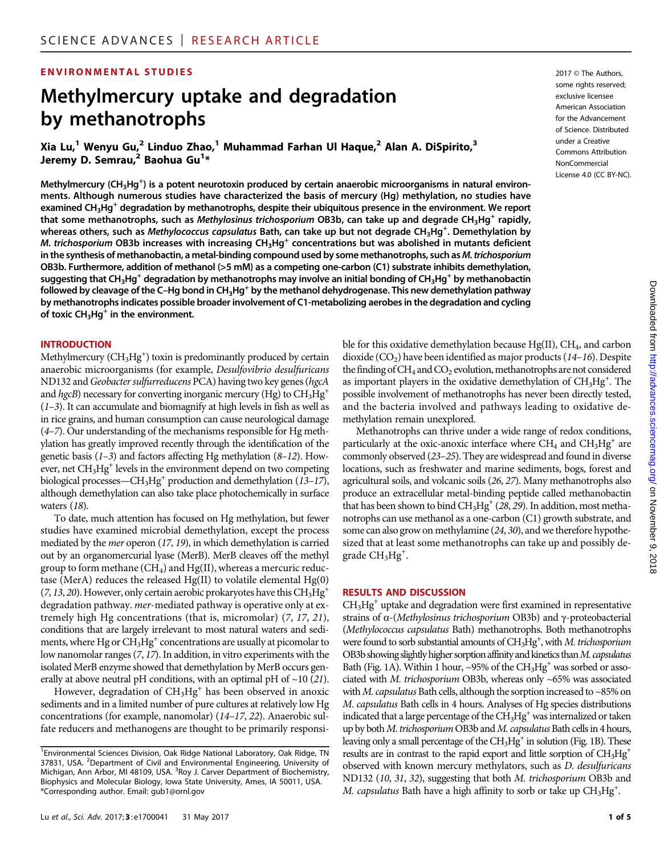#### **ENVIRONMENTAL STUDIES** 2017 CTHE Authors,

## Methylmercury uptake and degradation by methanotrophs

Xia Lu,<sup>1</sup> Wenyu Gu,<sup>2</sup> Linduo Zhao,<sup>1</sup> Muhammad Farhan Ul Haque,<sup>2</sup> Alan A. DiSpirito,<sup>3</sup> Jeremy D. Semrau,<sup>2</sup> Baohua Gu<sup>1</sup>\*

Methylmercury (CH<sub>3</sub>Hg<sup>+</sup>) is a potent neurotoxin produced by certain anaerobic microorganisms in natural environments. Although numerous studies have characterized the basis of mercury (Hg) methylation, no studies have examined CH<sub>3</sub>Hg<sup>+</sup> degradation by methanotrophs, despite their ubiquitous presence in the environment. We report that some methanotrophs, such as Methylosinus trichosporium OB3b, can take up and degrade CH<sub>3</sub>Hg<sup>+</sup> rapidly, whereas others, such as *Methylococcus capsulatus* Bath, can take up but not degrade CH<sub>3</sub>Hg<sup>+</sup>. Demethylation by M. trichosporium OB3b increases with increasing  $CH_3Hg^+$  concentrations but was abolished in mutants deficient in the synthesis of methanobactin, a metal-binding compound used by some methanotrophs, such as M. trichosporium OB3b. Furthermore, addition of methanol (>5 mM) as a competing one-carbon (C1) substrate inhibits demethylation, suggesting that CH<sub>3</sub>Hg<sup>+</sup> degradation by methanotrophs may involve an initial bonding of CH<sub>3</sub>Hg<sup>+</sup> by methanobactin followed by cleavage of the C–Hg bond in  $CH_3Hg^+$  by the methanol dehydrogenase. This new demethylation pathway by methanotrophs indicates possible broader involvement of C1-metabolizing aerobes in the degradation and cycling of toxic  $CH<sub>3</sub>Hg<sup>+</sup>$  in the environment.

#### **INTRODUCTION**

Methylmercury  $(\text{CH}_3\text{Hg}^+)$  toxin is predominantly produced by certain anaerobic microorganisms (for example, Desulfovibrio desulfuricans ND132 and Geobacter sulfurreducens PCA) having two key genes (hgcA and hgcB) necessary for converting inorganic mercury (Hg) to  $CH_3Hg^+$  $(1-3)$ . It can accumulate and biomagnify at high levels in fish as well as in rice grains, and human consumption can cause neurological damage (4–7). Our understanding of the mechanisms responsible for Hg methylation has greatly improved recently through the identification of the genetic basis  $(1-3)$  and factors affecting Hg methylation  $(8-12)$ . However, net CH<sub>3</sub>Hg<sup>+</sup> levels in the environment depend on two competing biological processes—CH<sub>3</sub>Hg<sup>+</sup> production and demethylation (13–17), although demethylation can also take place photochemically in surface waters (18).

To date, much attention has focused on Hg methylation, but fewer studies have examined microbial demethylation, except the process mediated by the mer operon (17, 19), in which demethylation is carried out by an organomercurial lyase (MerB). MerB cleaves off the methyl group to form methane  $(CH_4)$  and  $Hg(II)$ , whereas a mercuric reductase (MerA) reduces the released Hg(II) to volatile elemental Hg(0)  $(7, 13, 20)$ . However, only certain aerobic prokaryotes have this CH<sub>3</sub>Hg<sup>+</sup> degradation pathway. mer-mediated pathway is operative only at extremely high Hg concentrations (that is, micromolar) (7, 17, 21), conditions that are largely irrelevant to most natural waters and sediments, where  $Hg$  or  $CH<sub>3</sub>Hg<sup>+</sup>$  concentrations are usually at picomolar to low nanomolar ranges (7, 17). In addition, in vitro experiments with the isolated MerB enzyme showed that demethylation by MerB occurs generally at above neutral pH conditions, with an optimal pH of  $\sim$  10 (21).

However, degradation of  $CH<sub>3</sub>Hg<sup>+</sup>$  has been observed in anoxic sediments and in a limited number of pure cultures at relatively low Hg concentrations (for example, nanomolar) (14–17, 22). Anaerobic sulfate reducers and methanogens are thought to be primarily responsisome rights reserved; exclusive licensee American Association for the Advancement of Science. Distributed under a Creative Commons Attribution NonCommercial License 4.0 (CC BY-NC).

ble for this oxidative demethylation because  $Hg(II)$ ,  $CH<sub>4</sub>$ , and carbon dioxide  $(CO<sub>2</sub>)$  have been identified as major products (14-16). Despite the finding of  $CH_4$  and  $CO_2$  evolution, methanotrophs are not considered as important players in the oxidative demethylation of CH<sub>3</sub>Hg<sup>+</sup>. The possible involvement of methanotrophs has never been directly tested, and the bacteria involved and pathways leading to oxidative demethylation remain unexplored.

Methanotrophs can thrive under a wide range of redox conditions, particularly at the oxic-anoxic interface where  $CH_4$  and  $CH_3Hg^+$  are commonly observed (23–25). They are widespread and found in diverse locations, such as freshwater and marine sediments, bogs, forest and agricultural soils, and volcanic soils (26, 27). Many methanotrophs also produce an extracellular metal-binding peptide called methanobactin that has been shown to bind  $CH_3Hg^+(28, 29)$ . In addition, most methanotrophs can use methanol as a one-carbon (C1) growth substrate, and some can also grow on methylamine (24, 30), and we therefore hypothesized that at least some methanotrophs can take up and possibly degrade CH<sub>3</sub>Hg<sup>+</sup>.

#### RESULTS AND DISCUSSION

 $CH<sub>3</sub>Hg<sup>+</sup>$  uptake and degradation were first examined in representative strains of  $\alpha$ -(Methylosinus trichosporium OB3b) and  $\gamma$ -proteobacterial (Methylococcus capsulatus Bath) methanotrophs. Both methanotrophs were found to sorb substantial amounts of CH<sub>3</sub>Hg<sup>+</sup>, with M. trichosporium OB3b showing slightly higher sorption affinity and kinetics than M. capsulatus Bath (Fig. 1A). Within 1 hour, ~95% of the  $CH_3Hg^+$  was sorbed or associated with M. trichosporium OB3b, whereas only ~65% was associated with M. capsulatus Bath cells, although the sorption increased to  $\sim$ 85% on M. capsulatus Bath cells in 4 hours. Analyses of Hg species distributions indicated that a large percentage of the  $CH<sub>3</sub>Hg<sup>+</sup>$  was internalized or taken up by both M. trichosporium OB3b and M. capsulatus Bath cells in 4 hours, leaving only a small percentage of the CH<sub>3</sub>Hg<sup>+</sup> in solution (Fig. 1B). These results are in contrast to the rapid export and little sorption of CH<sub>3</sub>Hg<sup>+</sup> observed with known mercury methylators, such as D. desulfuricans ND132 (10, 31, 32), suggesting that both M. trichosporium OB3b and M. capsulatus Bath have a high affinity to sorb or take up  $CH_3Hg^+$ .

<sup>&</sup>lt;sup>1</sup> Environmental Sciences Division, Oak Ridge National Laboratory, Oak Ridge, TN 37831, USA. <sup>2</sup>Department of Civil and Environmental Engineering, University of Michigan, Ann Arbor, MI 48109, USA. <sup>3</sup>Roy J. Carver Department of Biochemistry, Biophysics and Molecular Biology, Iowa State University, Ames, IA 50011, USA. \*Corresponding author. Email: gub1@ornl.gov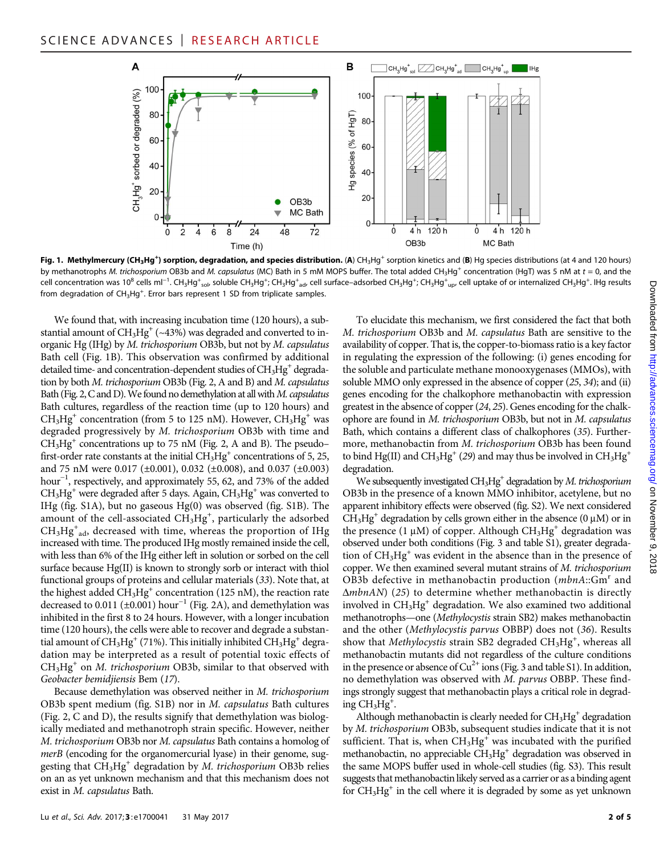

Fig. 1. Methylmercury (CH<sub>3</sub>Hg<sup>+</sup>) sorption, degradation, and species distribution. (A) CH<sub>3</sub>Hg<sup>+</sup> sorption kinetics and (B) Hg species distributions (at 4 and 120 hours) by methanotrophs M. trichosporium OB3b and M. capsulatus (MC) Bath in 5 mM MOPS buffer. The total added CH<sub>3</sub>Hg<sup>+</sup> concentration (HgT) was 5 nM at t = 0, and the cell concentration was 10<sup>8</sup> cells ml<sup>−1</sup>. CH<sub>3</sub>Hg<sup>+</sup><sub>sol</sub>, soluble CH<sub>3</sub>Hg<sup>+</sup>; CH<sub>3</sub>Hg<sup>+</sup><sub>ad</sub>, cell surface–adsorbed CH<sub>3</sub>Hg<sup>+</sup>; CH<sub>3</sub>Hg<sup>+</sup><sub>up</sub>, cell uptake of or internalized CH<sub>3</sub>Hg<sup>+</sup>. Hg results from degradation of  $CH_3Hg^+$ . Error bars represent 1 SD from triplicate samples.

We found that, with increasing incubation time (120 hours), a substantial amount of  $CH_3Hg^+$  (~43%) was degraded and converted to inorganic Hg (IHg) by M. trichosporium OB3b, but not by M. capsulatus Bath cell (Fig. 1B). This observation was confirmed by additional detailed time- and concentration-dependent studies of  $CH<sub>3</sub>Hg<sup>+</sup>$  degradation by both M. trichosporium OB3b (Fig. 2, A and B) and M. capsulatus Bath (Fig. 2, C and D). We found no demethylation at all with  $M$ . capsulatus Bath cultures, regardless of the reaction time (up to 120 hours) and  $CH<sub>3</sub>Hg<sup>+</sup>$  concentration (from 5 to 125 nM). However,  $CH<sub>3</sub>Hg<sup>+</sup>$  was degraded progressively by M. trichosporium OB3b with time and  $CH<sub>3</sub>Hg<sup>+</sup>$  concentrations up to 75 nM (Fig. 2, A and B). The pseudo– first-order rate constants at the initial  $CH<sub>3</sub>Hg<sup>+</sup>$  concentrations of 5, 25, and 75 nM were 0.017 (±0.001), 0.032 (±0.008), and 0.037 (±0.003) hour<sup>-1</sup>, respectively, and approximately 55, 62, and 73% of the added  $CH<sub>3</sub>Hg<sup>+</sup>$  were degraded after 5 days. Again,  $CH<sub>3</sub>Hg<sup>+</sup>$  was converted to IHg (fig. S1A), but no gaseous Hg(0) was observed (fig. S1B). The amount of the cell-associated  $CH<sub>3</sub>Hg<sup>+</sup>$ , particularly the adsorbed CH<sub>3</sub>Hg<sup>+</sup><sub>ad</sub>, decreased with time, whereas the proportion of IHg increased with time. The produced IHg mostly remained inside the cell, with less than 6% of the IHg either left in solution or sorbed on the cell surface because Hg(II) is known to strongly sorb or interact with thiol functional groups of proteins and cellular materials (33). Note that, at the highest added  $CH<sub>3</sub>Hg<sup>+</sup>$  concentration (125 nM), the reaction rate decreased to 0.011 (±0.001) hour<sup>-1</sup> (Fig. 2A), and demethylation was inhibited in the first 8 to 24 hours. However, with a longer incubation time (120 hours), the cells were able to recover and degrade a substantial amount of  $CH_3Hg^+(71\%)$ . This initially inhibited  $CH_3Hg^+$  degradation may be interpreted as a result of potential toxic effects of  $CH<sub>3</sub>Hg<sup>+</sup>$  on *M. trichosporium* OB3b, similar to that observed with Geobacter bemidjiensis Bem (17).

Because demethylation was observed neither in M. trichosporium OB3b spent medium (fig. S1B) nor in M. capsulatus Bath cultures (Fig. 2, C and D), the results signify that demethylation was biologically mediated and methanotroph strain specific. However, neither M. trichosporium OB3b nor M. capsulatus Bath contains a homolog of merB (encoding for the organomercurial lyase) in their genome, suggesting that  $CH<sub>3</sub>Hg<sup>+</sup>$  degradation by *M. trichosporium* OB3b relies on an as yet unknown mechanism and that this mechanism does not exist in M. capsulatus Bath.

To elucidate this mechanism, we first considered the fact that both M. trichosporium OB3b and M. capsulatus Bath are sensitive to the availability of copper. That is, the copper-to-biomass ratio is a key factor in regulating the expression of the following: (i) genes encoding for the soluble and particulate methane monooxygenases (MMOs), with soluble MMO only expressed in the absence of copper (25, 34); and (ii) genes encoding for the chalkophore methanobactin with expression greatest in the absence of copper (24, 25). Genes encoding for the chalkophore are found in M. trichosporium OB3b, but not in M. capsulatus Bath, which contains a different class of chalkophores (35). Furthermore, methanobactin from M. trichosporium OB3b has been found to bind Hg(II) and CH<sub>3</sub>Hg<sup>+</sup> (29) and may thus be involved in CH<sub>3</sub>Hg<sup>+</sup> degradation.

We subsequently investigated  $CH<sub>3</sub>Hg<sup>+</sup>$  degradation by *M. trichosporium* OB3b in the presence of a known MMO inhibitor, acetylene, but no apparent inhibitory effects were observed (fig. S2). We next considered  $CH<sub>3</sub>Hg<sup>+</sup>$  degradation by cells grown either in the absence (0  $\mu$ M) or in the presence (1  $\mu$ M) of copper. Although CH<sub>3</sub>Hg<sup>+</sup> degradation was observed under both conditions (Fig. 3 and table S1), greater degradation of  $CH<sub>3</sub>Hg<sup>+</sup>$  was evident in the absence than in the presence of copper. We then examined several mutant strains of M. trichosporium OB3b defective in methanobactin production  $(mbnA::Gm<sup>r</sup>$  and  $\Delta mbnAN$ ) (25) to determine whether methanobactin is directly involved in  $CH_3Hg^+$  degradation. We also examined two additional methanotrophs—one (Methylocystis strain SB2) makes methanobactin and the other (Methylocystis parvus OBBP) does not (36). Results show that Methylocystis strain SB2 degraded  $\mathrm{CH_3Hg}^+$ , whereas all methanobactin mutants did not regardless of the culture conditions in the presence or absence of  $Cu^{2+}$  ions (Fig. 3 and table S1). In addition, no demethylation was observed with M. parvus OBBP. These findings strongly suggest that methanobactin plays a critical role in degrading  $CH_3Hg^+$ .

Although methanobactin is clearly needed for  $CH<sub>3</sub>Hg<sup>+</sup>$  degradation by M. trichosporium OB3b, subsequent studies indicate that it is not sufficient. That is, when  $CH<sub>3</sub>Hg<sup>+</sup>$  was incubated with the purified methanobactin, no appreciable  $CH_3Hg^+$  degradation was observed in the same MOPS buffer used in whole-cell studies (fig. S3). This result suggests that methanobactin likely served as a carrier or as a binding agent for  $CH<sub>3</sub>Hg<sup>+</sup>$  in the cell where it is degraded by some as yet unknown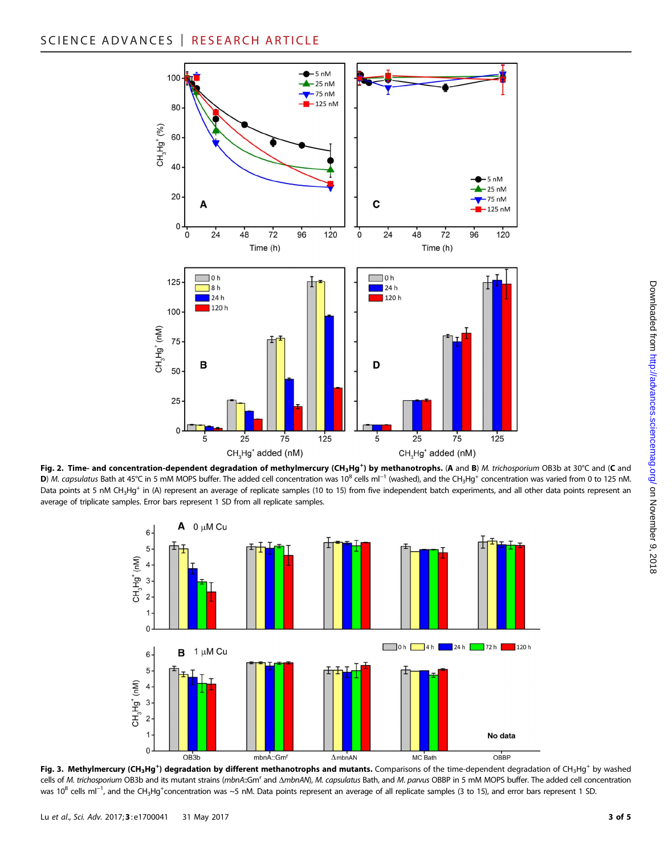





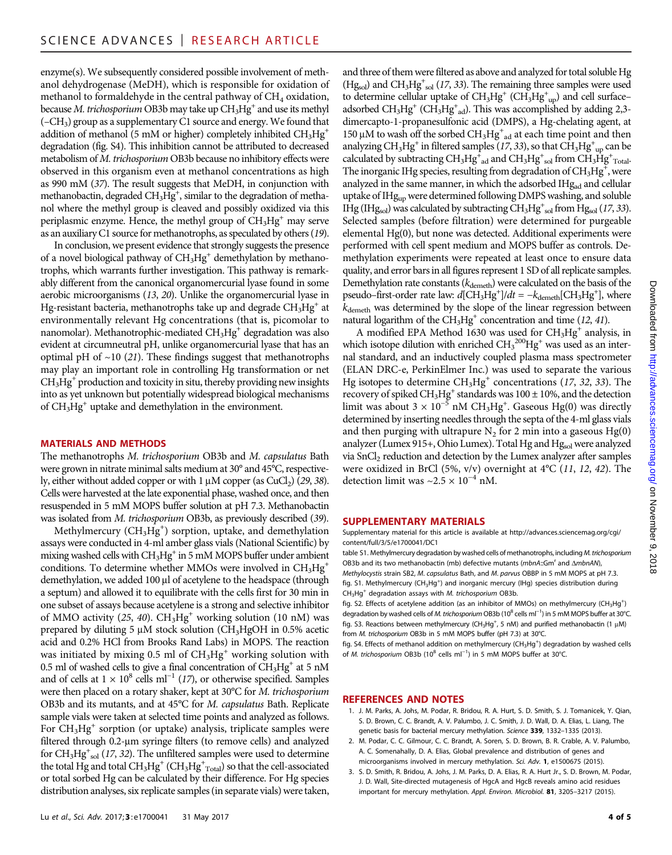enzyme(s). We subsequently considered possible involvement of methanol dehydrogenase (MeDH), which is responsible for oxidation of methanol to formaldehyde in the central pathway of  $CH<sub>4</sub>$  oxidation, because *M. trichosporium* OB3b may take up  $CH_3Hg^+$  and use its methyl  $(-CH<sub>3</sub>)$  group as a supplementary C1 source and energy. We found that addition of methanol (5 mM or higher) completely inhibited  $CH_3Hg^+$ degradation (fig. S4). This inhibition cannot be attributed to decreased metabolism of M. trichosporium OB3b because no inhibitory effects were observed in this organism even at methanol concentrations as high as 990 mM (37). The result suggests that MeDH, in conjunction with methanobactin, degraded CH<sub>3</sub>Hg<sup>+</sup>, similar to the degradation of methanol where the methyl group is cleaved and possibly oxidized via this periplasmic enzyme. Hence, the methyl group of  $CH<sub>3</sub>Hg<sup>+</sup>$  may serve as an auxiliary C1 source for methanotrophs, as speculated by others (19).

In conclusion, we present evidence that strongly suggests the presence of a novel biological pathway of  $CH<sub>3</sub>Hg<sup>+</sup>$  demethylation by methanotrophs, which warrants further investigation. This pathway is remarkably different from the canonical organomercurial lyase found in some aerobic microorganisms (13, 20). Unlike the organomercurial lyase in Hg-resistant bacteria, methanotrophs take up and degrade  $CH<sub>3</sub>Hg<sup>+</sup>$  at environmentally relevant Hg concentrations (that is, picomolar to nanomolar). Methanotrophic-mediated  $CH_3Hg^+$  degradation was also evident at circumneutral pH, unlike organomercurial lyase that has an optimal pH of  $~10$  (21). These findings suggest that methanotrophs may play an important role in controlling Hg transformation or net  $CH<sub>3</sub>Hg<sup>+</sup>$  production and toxicity in situ, thereby providing new insights into as yet unknown but potentially widespread biological mechanisms of  $CH<sub>3</sub>Hg<sup>+</sup>$  uptake and demethylation in the environment.

#### MATERIALS AND METHODS

The methanotrophs M. trichosporium OB3b and M. capsulatus Bath were grown in nitrate minimal salts medium at 30° and 45°C, respectively, either without added copper or with  $1 \mu M$  copper (as CuCl<sub>2</sub>) (29, 38). Cells were harvested at the late exponential phase, washed once, and then resuspended in 5 mM MOPS buffer solution at pH 7.3. Methanobactin was isolated from M. trichosporium OB3b, as previously described (39).

Methylmercury ( $\rm CH_{3}Hg^{+}$ ) sorption, uptake, and demethylation assays were conducted in 4-ml amber glass vials (National Scientific) by mixing washed cells with  $CH<sub>3</sub>Hg<sup>+</sup>$  in 5 mM MOPS buffer under ambient conditions. To determine whether MMOs were involved in  $CH_3Hg^+$ demethylation, we added 100 µl of acetylene to the headspace (through a septum) and allowed it to equilibrate with the cells first for 30 min in one subset of assays because acetylene is a strong and selective inhibitor of MMO activity (25, 40).  $CH_3Hg^+$  working solution (10 nM) was prepared by diluting 5  $\mu$ M stock solution (CH<sub>3</sub>HgOH in 0.5% acetic acid and 0.2% HCl from Brooks Rand Labs) in MOPS. The reaction was initiated by mixing 0.5 ml of  $CH_3Hg^+$  working solution with 0.5 ml of washed cells to give a final concentration of  $CH_3Hg^+$  at 5 nM and of cells at  $1 \times 10^8$  cells ml<sup>-1</sup> (17), or otherwise specified. Samples were then placed on a rotary shaker, kept at 30°C for M. trichosporium OB3b and its mutants, and at 45°C for M. capsulatus Bath. Replicate sample vials were taken at selected time points and analyzed as follows. For  $CH<sub>3</sub>Hg<sup>+</sup>$  sorption (or uptake) analysis, triplicate samples were filtered through 0.2-µm syringe filters (to remove cells) and analyzed for  $\text{CH}_3\text{Hg}^+_{\text{sol}}$  (17, 32). The unfiltered samples were used to determine the total Hg and total  $\text{CH}_3\text{Hg}^+$  (CH<sub>3</sub>Hg<sup>+</sup><sub>Total</sub>) so that the cell-associated or total sorbed Hg can be calculated by their difference. For Hg species distribution analyses, six replicate samples (in separate vials) were taken,

and three of them were filtered as above and analyzed for total soluble Hg  $(Hg_{sol})$  and  $CH_3Hg_{sol}^+(17, 33)$ . The remaining three samples were used to determine cellular uptake of  $CH_3Hg^+$  (CH<sub>3</sub>Hg<sup>+</sup><sub>up</sub>) and cell surfaceadsorbed  $\text{CH}_3\text{Hg}^+$  (CH<sub>3</sub>Hg<sup>+</sup><sub>ad</sub>). This was accomplished by adding 2,3dimercapto-1-propanesulfonic acid (DMPS), a Hg-chelating agent, at 150 µM to wash off the sorbed  $CH_3Hg^+$  ad at each time point and then<br>analyzing CH.Hg<sup>+</sup> in filtered samples (17.33), so that CH.Hg<sup>+</sup> can be analyzing CH<sub>3</sub>Hg<sup>+</sup> in filtered samples (17, 33), so that  $\tilde{\rm CH_3Hg}^+_{\ \rm up}$  can be calculated by subtracting  $CH_3Hg^{\dagger}_{ad}$  and  $CH_3Hg^{\dagger}_{sol}$  from  $CH_3Hg^{\dagger}_{\text{Total}}$ . The inorganic IHg species, resulting from degradation of  $CH_3Hg^+$ , were analyzed in the same manner, in which the adsorbed IHg<sub>ad</sub> and cellular uptake of IHg<sub>up</sub> were determined following DMPS washing, and soluble IHg (IHg<sub>sol</sub>) was calculated by subtracting  $CH_3Hg^+_{sol}$  from Hg<sub>sol</sub> (17, 33). Selected samples (before filtration) were determined for purgeable elemental Hg(0), but none was detected. Additional experiments were performed with cell spent medium and MOPS buffer as controls. Demethylation experiments were repeated at least once to ensure data quality, and error bars in all figures represent 1 SD of all replicate samples. Demethylation rate constants  $(k_{\text{demeth}})$  were calculated on the basis of the pseudo–first-order rate law:  $d$ [CH<sub>3</sub>Hg<sup>+</sup>]/ $dt = -k$ <sub>demeth</sub>[CH<sub>3</sub>Hg<sup>+</sup>], where  $k_{\text{demeth}}$  was determined by the slope of the linear regression between natural logarithm of the  $CH<sub>3</sub>Hg<sup>+</sup>$  concentration and time (12, 41).

A modified EPA Method 1630 was used for  $CH<sub>3</sub>Hg<sup>+</sup>$  analysis, in which isotope dilution with enriched  $\text{CH}_3{}^{200}\text{Hg}^+$  was used as an internal standard, and an inductively coupled plasma mass spectrometer (ELAN DRC-e, PerkinElmer Inc.) was used to separate the various Hg isotopes to determine  $CH_3Hg^+$  concentrations (17, 32, 33). The recovery of spiked  $CH_3Hg^+$  standards was 100  $\pm$  10%, and the detection limit was about 3 ×  $10^{-5}$  nM CH<sub>3</sub>Hg<sup>+</sup>. Gaseous Hg(0) was directly determined by inserting needles through the septa of the 4-ml glass vials and then purging with ultrapure  $N_2$  for 2 min into a gaseous Hg(0) analyzer (Lumex 915+, Ohio Lumex). Total Hg and Hgsol were analyzed via SnCl<sub>2</sub> reduction and detection by the Lumex analyzer after samples were oxidized in BrCl (5%, v/v) overnight at 4°C (11, 12, 42). The detection limit was  $\sim$ 2.5 × 10<sup>-4</sup> nM.

#### SUPPLEMENTARY MATERIALS

Supplementary material for this article is available at [http://advances.sciencemag.org/cgi/](http://advances.sciencemag.org/cgi/content/full/3/5/e1700041/DC1) [content/full/3/5/e1700041/DC1](http://advances.sciencemag.org/cgi/content/full/3/5/e1700041/DC1)

table S1. Methylmercury degradation by washed cells of methanotrophs, including M. trichosporium OB3b and its two methanobactin (mb) defective mutants (mbnA::Gm' and  $\Delta m$ bnAN), Methylocystis strain SB2, M. capsulatus Bath, and M. parvus OBBP in 5 mM MOPS at pH 7.3. fig. S1. Methylmercury (CH<sub>3</sub>Hg<sup>+</sup>) and inorganic mercury (IHg) species distribution during  $CH<sub>3</sub>Hg<sup>+</sup>$  degradation assays with M. trichosporium OB3b.

fig. S2. Effects of acetylene addition (as an inhibitor of MMOs) on methylmercury (CH<sub>3</sub>Hg<sup>+</sup>) degradation by washed cells of *M. trichosporium* OB3b (10<sup>8</sup> cells ml<sup>−1</sup>) in 5 mM MOPS buffer at 30°C. fig. S3. Reactions between methylmercury  $(CH_3Hg^+, 5 \text{ nM})$  and purified methanobactin (1  $\mu$ M) from M. trichosporium OB3b in 5 mM MOPS buffer (pH 7.3) at 30°C.

fig. S4. Effects of methanol addition on methylmercury (CH<sub>3</sub>Hg<sup>+</sup>) degradation by washed cells of M. trichosporium OB3b (10<sup>8</sup> cells ml<sup>-1</sup>) in 5 mM MOPS buffer at 30°C.

#### REFERENCES AND NOTES

- 1. J. M. Parks, A. Johs, M. Podar, R. Bridou, R. A. Hurt, S. D. Smith, S. J. Tomanicek, Y. Qian, S. D. Brown, C. C. Brandt, A. V. Palumbo, J. C. Smith, J. D. Wall, D. A. Elias, L. Liang, The genetic basis for bacterial mercury methylation. Science 339, 1332-1335 (2013).
- 2. M. Podar, C. C. Gilmour, C. C. Brandt, A. Soren, S. D. Brown, B. R. Crable, A. V. Palumbo, A. C. Somenahally, D. A. Elias, Global prevalence and distribution of genes and microorganisms involved in mercury methylation. Sci. Adv. 1, e1500675 (2015).
- 3. S. D. Smith, R. Bridou, A. Johs, J. M. Parks, D. A. Elias, R. A. Hurt Jr., S. D. Brown, M. Podar, J. D. Wall, Site-directed mutagenesis of HgcA and HgcB reveals amino acid residues important for mercury methylation. Appl. Environ. Microbiol. 81, 3205-3217 (2015).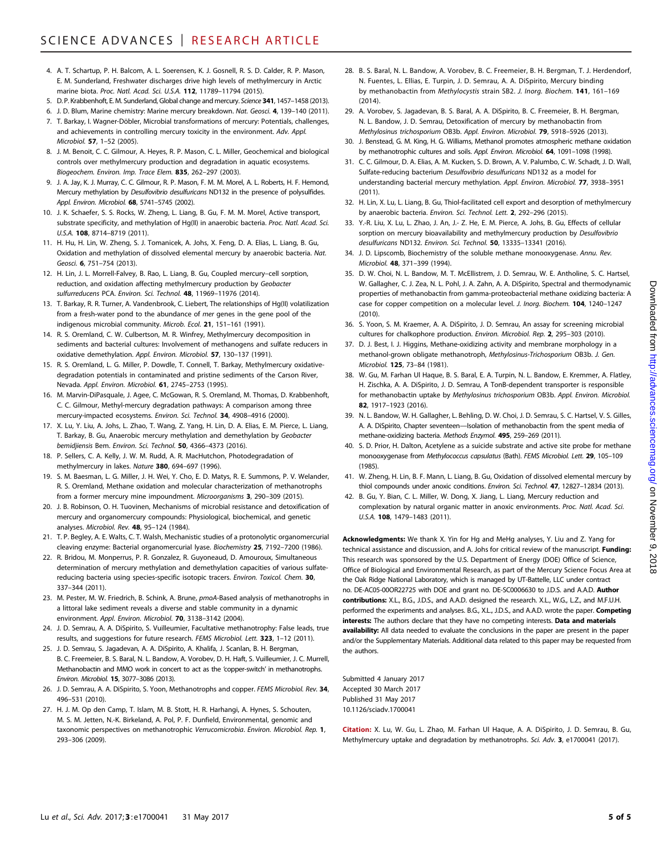- 4. A. T. Schartup, P. H. Balcom, A. L. Soerensen, K. J. Gosnell, R. S. D. Calder, R. P. Mason, E. M. Sunderland, Freshwater discharges drive high levels of methylmercury in Arctic marine biota. Proc. Natl. Acad. Sci. U.S.A. 112, 11789–11794 (2015).
- 5. D. P. Krabbenhoft, E. M. Sunderland, Global change and mercury. Science 341, 1457-1458 (2013).
- 6. J. D. Blum, Marine chemistry: Marine mercury breakdown. Nat. Geosci. 4, 139–140 (2011). 7. T. Barkay, I. Wagner-Döbler, Microbial transformations of mercury: Potentials, challenges,
- and achievements in controlling mercury toxicity in the environment. Adv. Appl. Microbiol. 57, 1–52 (2005).
- 8. J. M. Benoit, C. C. Gilmour, A. Heyes, R. P. Mason, C. L. Miller, Geochemical and biological controls over methylmercury production and degradation in aquatic ecosystems. Biogeochem. Environ. Imp. Trace Elem. 835, 262–297 (2003).
- 9. J. A. Jay, K. J. Murray, C. C. Gilmour, R. P. Mason, F. M. M. Morel, A. L. Roberts, H. F. Hemond, Mercury methylation by Desulfovibrio desulfuricans ND132 in the presence of polysulfides. Appl. Environ. Microbiol. 68, 5741-5745 (2002).
- 10. J. K. Schaefer, S. S. Rocks, W. Zheng, L. Liang, B. Gu, F. M. M. Morel, Active transport, substrate specificity, and methylation of Hg(II) in anaerobic bacteria. Proc. Natl. Acad. Sci. U.S.A. 108, 8714–8719 (2011).
- 11. H. Hu, H. Lin, W. Zheng, S. J. Tomanicek, A. Johs, X. Feng, D. A. Elias, L. Liang, B. Gu, Oxidation and methylation of dissolved elemental mercury by anaerobic bacteria. Nat. Geosci. 6, 751–754 (2013).
- 12. H. Lin, J. L. Morrell-Falvey, B. Rao, L. Liang, B. Gu, Coupled mercury–cell sorption, reduction, and oxidation affecting methylmercury production by Geobacter sulfurreducens PCA. Environ. Sci. Technol. 48, 11969-11976 (2014).
- 13. T. Barkay, R. R. Turner, A. Vandenbrook, C. Liebert, The relationships of Hg(II) volatilization from a fresh-water pond to the abundance of mer genes in the gene pool of the indigenous microbial community. Microb. Ecol. 21, 151–161 (1991).
- 14. R. S. Oremland, C. W. Culbertson, M. R. Winfrey, Methylmercury decomposition in sediments and bacterial cultures: Involvement of methanogens and sulfate reducers in oxidative demethylation. Appl. Environ. Microbiol. 57, 130–137 (1991).
- 15. R. S. Oremland, L. G. Miller, P. Dowdle, T. Connell, T. Barkay, Methylmercury oxidativedegradation potentials in contaminated and pristine sediments of the Carson River, Nevada. Appl. Environ. Microbiol. 61, 2745–2753 (1995).
- 16. M. Marvin-DiPasquale, J. Agee, C. McGowan, R. S. Oremland, M. Thomas, D. Krabbenhoft, C. C. Gilmour, Methyl-mercury degradation pathways: A comparison among three mercury-impacted ecosystems. Environ. Sci. Technol. 34, 4908-4916 (2000).
- 17. X. Lu, Y. Liu, A. Johs, L. Zhao, T. Wang, Z. Yang, H. Lin, D. A. Elias, E. M. Pierce, L. Liang, T. Barkay, B. Gu, Anaerobic mercury methylation and demethylation by Geobacter bemidjiensis Bem. Environ. Sci. Technol. 50, 4366–4373 (2016).
- 18. P. Sellers, C. A. Kelly, J. W. M. Rudd, A. R. MacHutchon, Photodegradation of methylmercury in lakes. Nature 380, 694–697 (1996).
- 19. S. M. Baesman, L. G. Miller, J. H. Wei, Y. Cho, E. D. Matys, R. E. Summons, P. V. Welander, R. S. Oremland, Methane oxidation and molecular characterization of methanotrophs from a former mercury mine impoundment. Microorganisms 3, 290–309 (2015).
- 20. J. B. Robinson, O. H. Tuovinen, Mechanisms of microbial resistance and detoxification of mercury and organomercury compounds: Physiological, biochemical, and genetic analyses. Microbiol. Rev. 48, 95–124 (1984).
- 21. T. P. Begley, A. E. Walts, C. T. Walsh, Mechanistic studies of a protonolytic organomercurial cleaving enzyme: Bacterial organomercurial lyase. Biochemistry 25, 7192-7200 (1986).
- 22. R. Bridou, M. Monperrus, P. R. Gonzalez, R. Guyoneaud, D. Amouroux, Simultaneous determination of mercury methylation and demethylation capacities of various sulfatereducing bacteria using species-specific isotopic tracers. Environ. Toxicol. Chem. 30, 337–344 (2011).
- 23. M. Pester, M. W. Friedrich, B. Schink, A. Brune, pmoA-Based analysis of methanotrophs in a littoral lake sediment reveals a diverse and stable community in a dynamic environment. Appl. Environ. Microbiol. 70, 3138–3142 (2004).
- 24. J. D. Semrau, A. A. DiSpirito, S. Vuilleumier, Facultative methanotrophy: False leads, true results, and suggestions for future research. FEMS Microbiol. Lett. 323, 1–12 (2011).
- 25. J. D. Semrau, S. Jagadevan, A. A. DiSpirito, A. Khalifa, J. Scanlan, B. H. Bergman, B. C. Freemeier, B. S. Baral, N. L. Bandow, A. Vorobev, D. H. Haft, S. Vuilleumier, J. C. Murrell, Methanobactin and MMO work in concert to act as the 'copper-switch' in methanotrophs. Environ. Microbiol. 15, 3077–3086 (2013).
- 26. J. D. Semrau, A. A. DiSpirito, S. Yoon, Methanotrophs and copper. FEMS Microbiol. Rev. 34, 496–531 (2010).
- 27. H. J. M. Op den Camp, T. Islam, M. B. Stott, H. R. Harhangi, A. Hynes, S. Schouten, M. S. M. Jetten, N.-K. Birkeland, A. Pol, P. F. Dunfield, Environmental, genomic and taxonomic perspectives on methanotrophic Verrucomicrobia. Environ. Microbiol. Rep. 1, 293–306 (2009).
- 28. B. S. Baral, N. L. Bandow, A. Vorobev, B. C. Freemeier, B. H. Bergman, T. J. Herdendorf, N. Fuentes, L. Ellias, E. Turpin, J. D. Semrau, A. A. DiSpirito, Mercury binding by methanobactin from Methylocystis strain SB2. J. Inorg. Biochem. 141, 161–169  $(2014)$
- 29. A. Vorobev, S. Jagadevan, B. S. Baral, A. A. DiSpirito, B. C. Freemeier, B. H. Bergman, N. L. Bandow, J. D. Semrau, Detoxification of mercury by methanobactin from Methylosinus trichosporium OB3b. Appl. Environ. Microbiol. 79, 5918–5926 (2013).
- 30. J. Benstead, G. M. King, H. G. Williams, Methanol promotes atmospheric methane oxidation by methanotrophic cultures and soils. Appl. Environ. Microbiol. 64, 1091–1098 (1998).
- 31. C. C. Gilmour, D. A. Elias, A. M. Kucken, S. D. Brown, A. V. Palumbo, C. W. Schadt, J. D. Wall, Sulfate-reducing bacterium Desulfovibrio desulfuricans ND132 as a model for understanding bacterial mercury methylation. Appl. Environ. Microbiol. 77, 3938–3951 (2011).
- 32. H. Lin, X. Lu, L. Liang, B. Gu, Thiol-facilitated cell export and desorption of methylmercury by anaerobic bacteria. Environ. Sci. Technol. Lett. 2, 292–296 (2015).
- 33. Y.-R. Liu, X. Lu, L. Zhao, J. An, J.- Z. He, E. M. Pierce, A. Johs, B. Gu, Effects of cellular sorption on mercury bioavailability and methylmercury production by Desulfovibrio desulfuricans ND132. Environ. Sci. Technol. 50, 13335-13341 (2016).
- 34. J. D. Lipscomb, Biochemistry of the soluble methane monooxygenase. Annu. Rev. Microbiol. 48, 371–399 (1994).
- 35. D. W. Choi, N. L. Bandow, M. T. McEllistrem, J. D. Semrau, W. E. Antholine, S. C. Hartsel, W. Gallagher, C. J. Zea, N. L. Pohl, J. A. Zahn, A. A. DiSpirito, Spectral and thermodynamic properties of methanobactin from gamma-proteobacterial methane oxidizing bacteria: A case for copper competition on a molecular level. J. Inorg. Biochem. 104, 1240–1247 (2010).
- 36. S. Yoon, S. M. Kraemer, A. A. DiSpirito, J. D. Semrau, An assay for screening microbial cultures for chalkophore production. Environ. Microbiol. Rep. 2, 295–303 (2010).
- 37. D. J. Best, I. J. Higgins, Methane-oxidizing activity and membrane morphology in a methanol-grown obligate methanotroph, Methylosinus-Trichosporium OB3b. J. Gen. Microbiol. 125, 73–84 (1981).
- 38. W. Gu, M. Farhan Ul Haque, B. S. Baral, E. A. Turpin, N. L. Bandow, E. Kremmer, A. Flatley, H. Zischka, A. A. DiSpirito, J. D. Semrau, A TonB-dependent transporter is responsible for methanobactin uptake by Methylosinus trichosporium OB3b. Appl. Environ. Microbiol. 82, 1917–1923 (2016).
- 39. N. L. Bandow, W. H. Gallagher, L. Behling, D. W. Choi, J. D. Semrau, S. C. Hartsel, V. S. Gilles, A. A. DiSpirito, Chapter seventeen—Isolation of methanobactin from the spent media of methane-oxidizing bacteria. Methods Enzymol. 495, 259–269 (2011).
- 40. S. D. Prior, H. Dalton, Acetylene as a suicide substrate and active site probe for methane monooxygenase from Methylococcus capsulatus (Bath). FEMS Microbiol. Lett. 29, 105–109 (1985).
- 41. W. Zheng, H. Lin, B. F. Mann, L. Liang, B. Gu, Oxidation of dissolved elemental mercury by thiol compounds under anoxic conditions. Environ. Sci. Technol. 47, 12827–12834 (2013).
- 42. B. Gu, Y. Bian, C. L. Miller, W. Dong, X. Jiang, L. Liang, Mercury reduction and complexation by natural organic matter in anoxic environments. Proc. Natl. Acad. Sci. U.S.A. 108, 1479–1483 (2011).

Acknowledgments: We thank X. Yin for Hg and MeHg analyses, Y. Liu and Z. Yang for technical assistance and discussion, and A. Johs for critical review of the manuscript. Funding: This research was sponsored by the U.S. Department of Energy (DOE) Office of Science, Office of Biological and Environmental Research, as part of the Mercury Science Focus Area at the Oak Ridge National Laboratory, which is managed by UT-Battelle, LLC under contract no. DE-AC05-00OR22725 with DOE and grant no. DE-SC0006630 to J.D.S. and A.A.D. Author contributions: X.L., B.G., J.D.S., and A.A.D. designed the research. X.L., W.G., L.Z., and M.F.U.H. performed the experiments and analyses. B.G., X.L., J.D.S., and A.A.D. wrote the paper. Competing interests: The authors declare that they have no competing interests. Data and materials availability: All data needed to evaluate the conclusions in the paper are present in the paper and/or the Supplementary Materials. Additional data related to this paper may be requested from the authors.

Submitted 4 January 2017 Accepted 30 March 2017 Published 31 May 2017 10.1126/sciadv.1700041

Citation: X. Lu, W. Gu, L. Zhao, M. Farhan Ul Haque, A. A. DiSpirito, J. D. Semrau, B. Gu, Methylmercury uptake and degradation by methanotrophs. Sci. Adv. 3, e1700041 (2017).